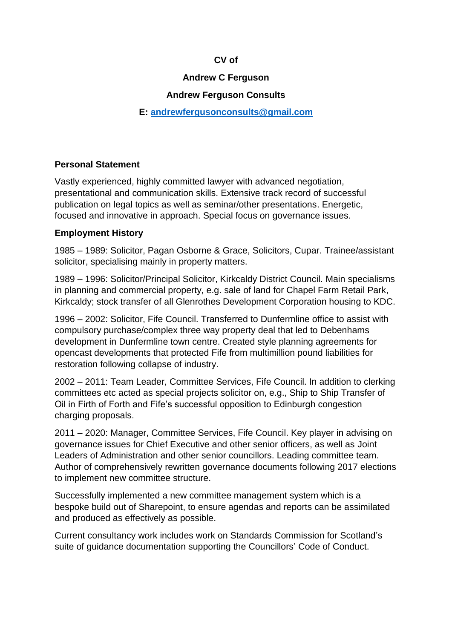# **CV of**

## **Andrew C Ferguson**

# **Andrew Ferguson Consults**

### **E: [andrewfergusonconsults@gmail.com](mailto:andrewfergusonconsults@gmail.com)**

#### **Personal Statement**

Vastly experienced, highly committed lawyer with advanced negotiation, presentational and communication skills. Extensive track record of successful publication on legal topics as well as seminar/other presentations. Energetic, focused and innovative in approach. Special focus on governance issues.

#### **Employment History**

1985 – 1989: Solicitor, Pagan Osborne & Grace, Solicitors, Cupar. Trainee/assistant solicitor, specialising mainly in property matters.

1989 – 1996: Solicitor/Principal Solicitor, Kirkcaldy District Council. Main specialisms in planning and commercial property, e.g. sale of land for Chapel Farm Retail Park, Kirkcaldy; stock transfer of all Glenrothes Development Corporation housing to KDC.

1996 – 2002: Solicitor, Fife Council. Transferred to Dunfermline office to assist with compulsory purchase/complex three way property deal that led to Debenhams development in Dunfermline town centre. Created style planning agreements for opencast developments that protected Fife from multimillion pound liabilities for restoration following collapse of industry.

2002 – 2011: Team Leader, Committee Services, Fife Council. In addition to clerking committees etc acted as special projects solicitor on, e.g., Ship to Ship Transfer of Oil in Firth of Forth and Fife's successful opposition to Edinburgh congestion charging proposals.

2011 – 2020: Manager, Committee Services, Fife Council. Key player in advising on governance issues for Chief Executive and other senior officers, as well as Joint Leaders of Administration and other senior councillors. Leading committee team. Author of comprehensively rewritten governance documents following 2017 elections to implement new committee structure.

Successfully implemented a new committee management system which is a bespoke build out of Sharepoint, to ensure agendas and reports can be assimilated and produced as effectively as possible.

Current consultancy work includes work on Standards Commission for Scotland's suite of guidance documentation supporting the Councillors' Code of Conduct.